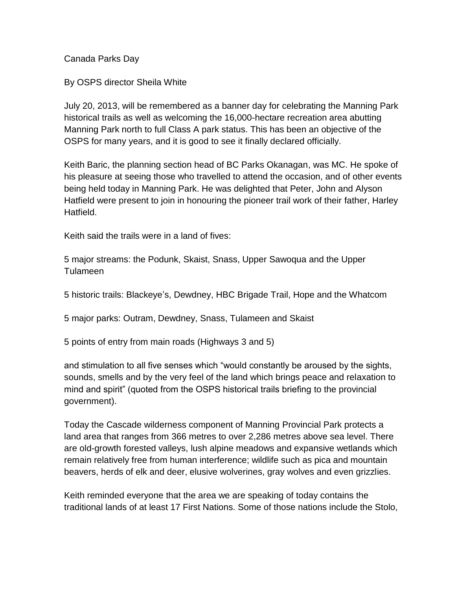Canada Parks Day

By OSPS director Sheila White

July 20, 2013, will be remembered as a banner day for celebrating the Manning Park historical trails as well as welcoming the 16,000-hectare recreation area abutting Manning Park north to full Class A park status. This has been an objective of the OSPS for many years, and it is good to see it finally declared officially.

Keith Baric, the planning section head of BC Parks Okanagan, was MC. He spoke of his pleasure at seeing those who travelled to attend the occasion, and of other events being held today in Manning Park. He was delighted that Peter, John and Alyson Hatfield were present to join in honouring the pioneer trail work of their father, Harley Hatfield.

Keith said the trails were in a land of fives:

5 major streams: the Podunk, Skaist, Snass, Upper Sawoqua and the Upper Tulameen

5 historic trails: Blackeye's, Dewdney, HBC Brigade Trail, Hope and the Whatcom

5 major parks: Outram, Dewdney, Snass, Tulameen and Skaist

5 points of entry from main roads (Highways 3 and 5)

and stimulation to all five senses which "would constantly be aroused by the sights, sounds, smells and by the very feel of the land which brings peace and relaxation to mind and spirit" (quoted from the OSPS historical trails briefing to the provincial government).

Today the Cascade wilderness component of Manning Provincial Park protects a land area that ranges from 366 metres to over 2,286 metres above sea level. There are old-growth forested valleys, lush alpine meadows and expansive wetlands which remain relatively free from human interference; wildlife such as pica and mountain beavers, herds of elk and deer, elusive wolverines, gray wolves and even grizzlies.

Keith reminded everyone that the area we are speaking of today contains the traditional lands of at least 17 First Nations. Some of those nations include the Stolo,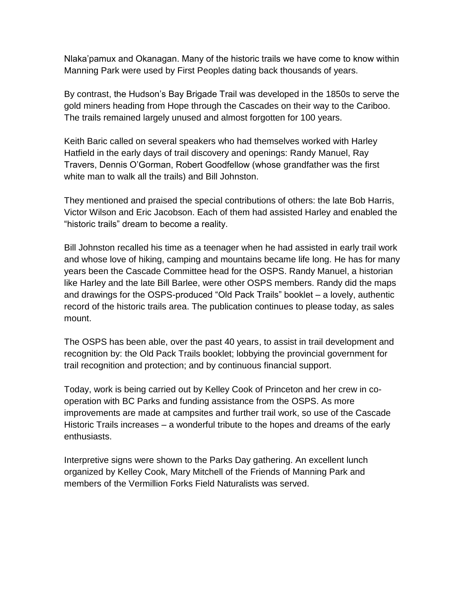Nlaka'pamux and Okanagan. Many of the historic trails we have come to know within Manning Park were used by First Peoples dating back thousands of years.

By contrast, the Hudson's Bay Brigade Trail was developed in the 1850s to serve the gold miners heading from Hope through the Cascades on their way to the Cariboo. The trails remained largely unused and almost forgotten for 100 years.

Keith Baric called on several speakers who had themselves worked with Harley Hatfield in the early days of trail discovery and openings: Randy Manuel, Ray Travers, Dennis O'Gorman, Robert Goodfellow (whose grandfather was the first white man to walk all the trails) and Bill Johnston.

They mentioned and praised the special contributions of others: the late Bob Harris, Victor Wilson and Eric Jacobson. Each of them had assisted Harley and enabled the "historic trails" dream to become a reality.

Bill Johnston recalled his time as a teenager when he had assisted in early trail work and whose love of hiking, camping and mountains became life long. He has for many years been the Cascade Committee head for the OSPS. Randy Manuel, a historian like Harley and the late Bill Barlee, were other OSPS members. Randy did the maps and drawings for the OSPS-produced "Old Pack Trails" booklet – a lovely, authentic record of the historic trails area. The publication continues to please today, as sales mount.

The OSPS has been able, over the past 40 years, to assist in trail development and recognition by: the Old Pack Trails booklet; lobbying the provincial government for trail recognition and protection; and by continuous financial support.

Today, work is being carried out by Kelley Cook of Princeton and her crew in cooperation with BC Parks and funding assistance from the OSPS. As more improvements are made at campsites and further trail work, so use of the Cascade Historic Trails increases – a wonderful tribute to the hopes and dreams of the early enthusiasts.

Interpretive signs were shown to the Parks Day gathering. An excellent lunch organized by Kelley Cook, Mary Mitchell of the Friends of Manning Park and members of the Vermillion Forks Field Naturalists was served.